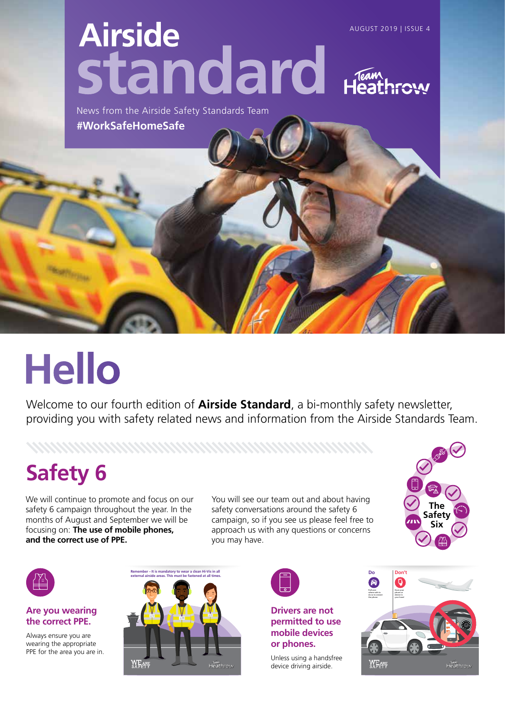# **Airside** AUGUST 2019 | ISSUE 4 standard

News from the Airside Safety Standards Team **#WorkSafeHomeSafe**

# **Hello**

Welcome to our fourth edition of **Airside Standard**, a bi-monthly safety newsletter, providing you with safety related news and information from the Airside Standards Team.

## **Safety 6**

We will continue to promote and focus on our safety 6 campaign throughout the year. In the months of August and September we will be focusing on: The use of mobile phones, **and the correct use of PPE.**

You will see our team out and about having safety conversations around the safety 6 campaign, so if you see us please feel free to approach us with any questions or concerns you may have.





**Are you wearing the correct PPE.**

Always ensure you are wearing the appropriate PPE for the area you are in.





#### **Drivers are not permitted to use mobile devices or phones.**

Unless using a handsfree device driving airside.

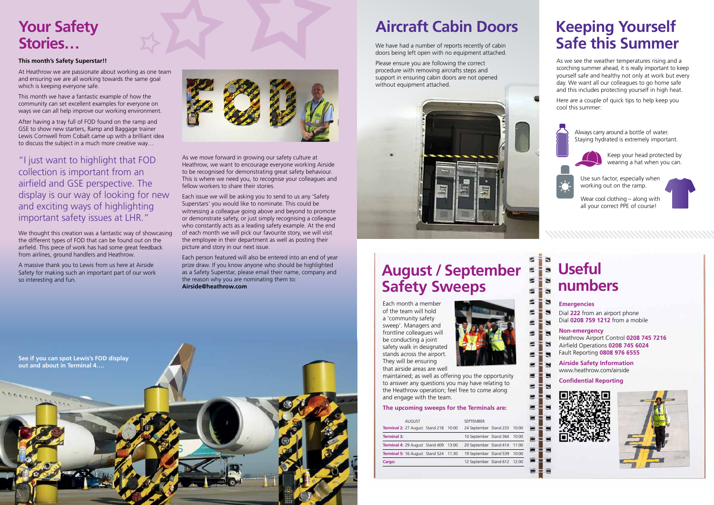Each month a member of the team will hold a 'community safety sweep'. Managers and frontline colleagues will be conducting a joint safety walk in designated stands across the airport. They will be ensuring that airside areas are well



maintained; as well as offering you the opportunity to answer any questions you may have relating to the Heathrow operation; feel free to come along and engage with the team.

#### **The upcoming sweeps for the Terminals are:**

### **August / September Safety Sweeps**

| <b>AUGUST</b>                         |  | <b>SEPTEMBER</b>             |       |
|---------------------------------------|--|------------------------------|-------|
| Terminal 2: 27 August Stand 218 10:00 |  | 24 September Stand 233 10:00 |       |
| <b>Terminal 3:</b>                    |  | 10 September Stand 364       | 10:00 |
| Terminal 4: 29 August Stand 409 13:00 |  | 20 September Stand 414 11:00 |       |
| Terminal 5: 16 August Stand 524 11:30 |  | 19 September Stand 539       | 10:00 |
| Cargo:                                |  | 12 September Stand 612 12:00 |       |
|                                       |  |                              |       |

### **Keeping Yourself Safe this Summer**

### **Aircraft Cabin Doors**

As we see the weather temperatures rising and a scorching summer ahead, it is really important to keep yourself safe and healthy not only at work but every day. We want all our colleagues to go home safe and this includes protecting yourself in high heat.

Here are a couple of quick tips to help keep you cool this summer:



Always carry around a bottle of water. Staying hydrated is extremely important.



Keep your head protected by wearing a hat when you can.

Wear cool clothing – along with all your correct PPE of course!

Use sun factor, especially when working out on the ramp.



 $\blacksquare$ 

э S.

в

**Emergencies** Dial **222** from an airport phone Dial **0208 759 1212** from a mobile

**Non-emergency** Heathrow Airport Control **0208 745 7216** Airfield Operations **0208 745 6024** Fault Reporting **0808 976 6555**

**Airside Safety Information** www.heathrow.com/airside

#### **Confidential Reporting**





### **Useful numbers**

### **This month's Safety Superstar!!**

At Heathrow we are passionate about working as one team and ensuring we are all working towards the same goal which is keeping everyone safe.

### **Your Safety Stories…** We have had a number of reports recently of cabin

This month we have a fantastic example of how the community can set excellent examples for everyone on ways we can all help improve our working environment.

After having a tray full of FOD found on the ramp and GSE to show new starters, Ramp and Baggage trainer Lewis Cornwell from Cobalt came up with a brilliant idea to discuss the subject in a much more creative way…

### "I just want to highlight that FOD collection is important from an airfield and GSE perspective. The display is our way of looking for new and exciting ways of highlighting important safety issues at LHR."

We thought this creation was a fantastic way of showcasing the different types of FOD that can be found out on the airfield. This piece of work has had some great feedback from airlines, ground handlers and Heathrow.

A massive thank you to Lewis from us here at Airside Safety for making such an important part of our work so interesting and fun.



As we move forward in growing our safety culture at Heathrow, we want to encourage everyone working Airside to be recognised for demonstrating great safety behaviour. This is where we need you, to recognise your colleagues and fellow workers to share their stories.

Each issue we will be asking you to send to us any 'Safety Superstars' you would like to nominate. This could be witnessing a colleague going above and beyond to promote or demonstrate safety, or just simply recognising a colleague who constantly acts as a leading safety example. At the end of each month we will pick our favourite story, we will visit the employee in their department as well as posting their picture and story in our next issue.

Each person featured will also be entered into an end of year prize draw. If you know anyone who should be highlighted as a Safety Superstar, please email their name, company and the reason why you are nominating them to: **Airside@heathrow.com**

doors being left open with no equipment attached.

Please ensure you are following the correct procedure with removing aircrafts steps and support in ensuring cabin doors are not opened without equipment attached.